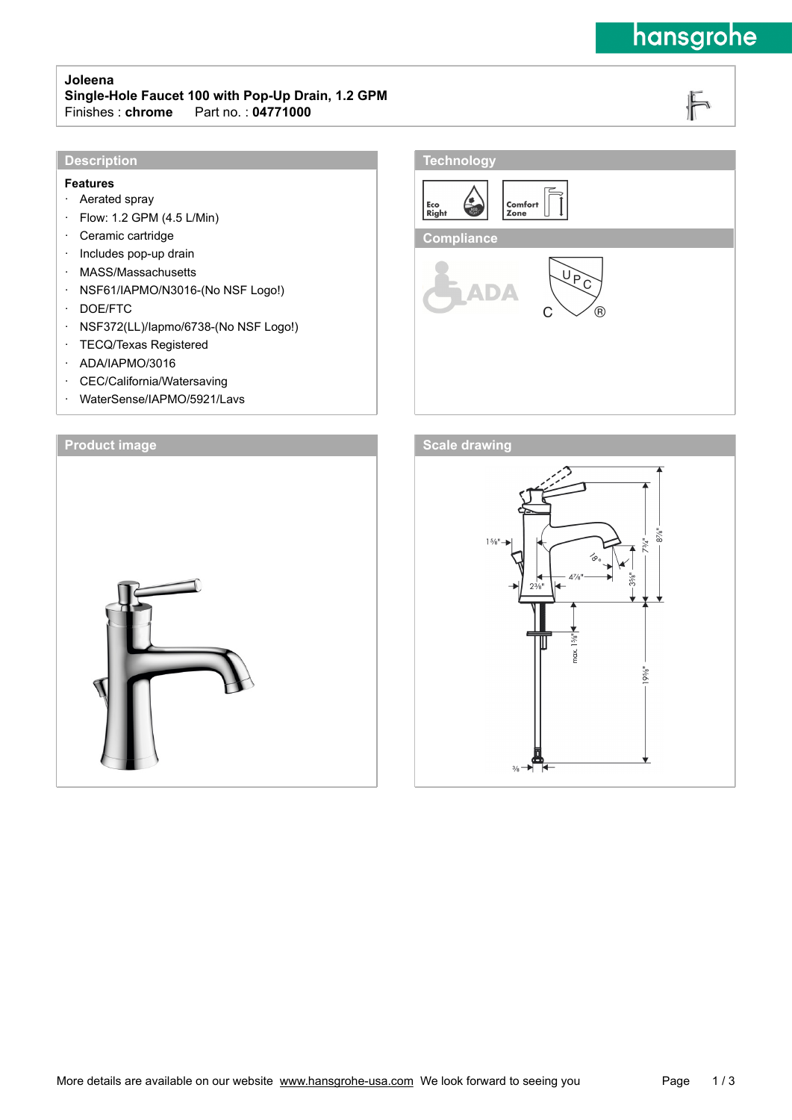## hansgrohe

#### **Joleena Single-Hole Faucet 100 with Pop-Up Drain, 1.2 GPM** Finishes : **chrome**\_\_\_Part no. : **04771000**



#### **Features**

- · Aerated spray
- · Flow: 1.2 GPM (4.5 L/Min)
- · Ceramic cartridge
- · Includes pop-up drain
- · MASS/Massachusetts
- · NSF61/IAPMO/N3016-(No NSF Logo!)
- · DOE/FTC
- · NSF372(LL)/Iapmo/6738-(No NSF Logo!)
- · TECQ/Texas Registered
- · ADA/IAPMO/3016
- · CEC/California/Watersaving
- · WaterSense/IAPMO/5921/Lavs





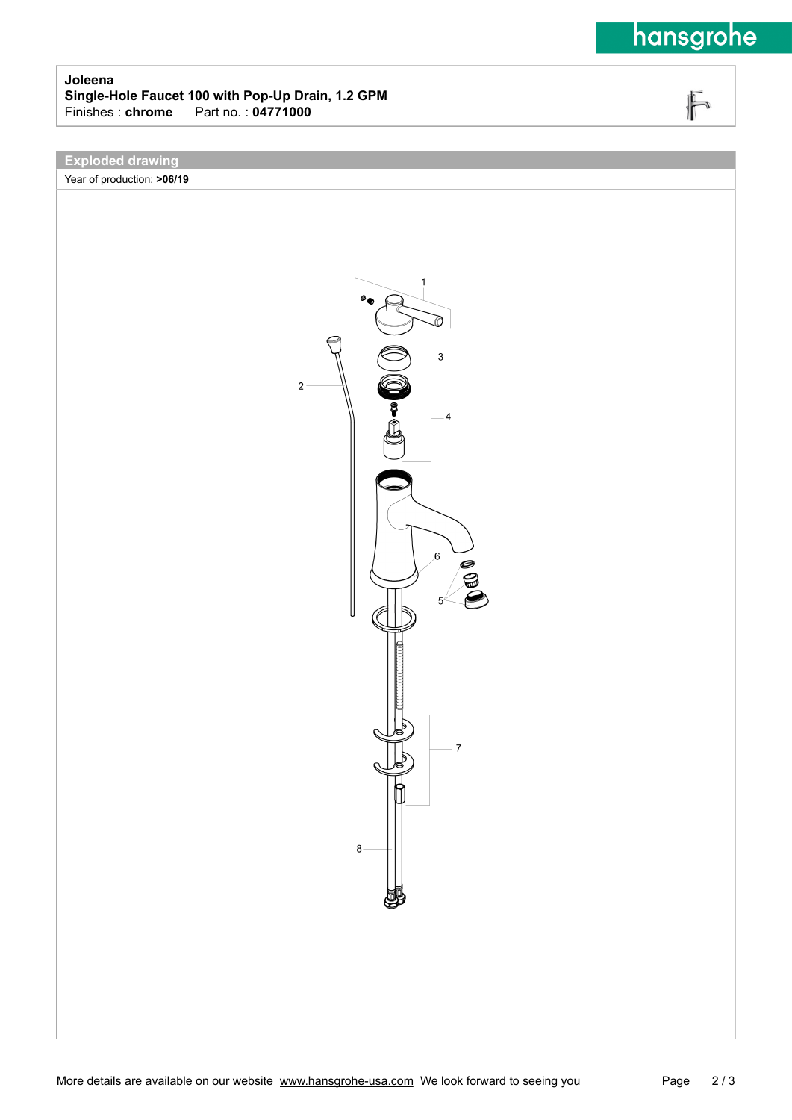## $\Delta$

# 3  $\overline{2}$  $\overline{6}$ 5  $\overline{7}$ 8

### **Joleena Single-Hole Faucet 100 with Pop-Up Drain, 1.2 GPM** Finishes : **chrome**\_\_\_Part no. : **04771000**

**Exploded drawing**

Year of production: **>06/19**

作